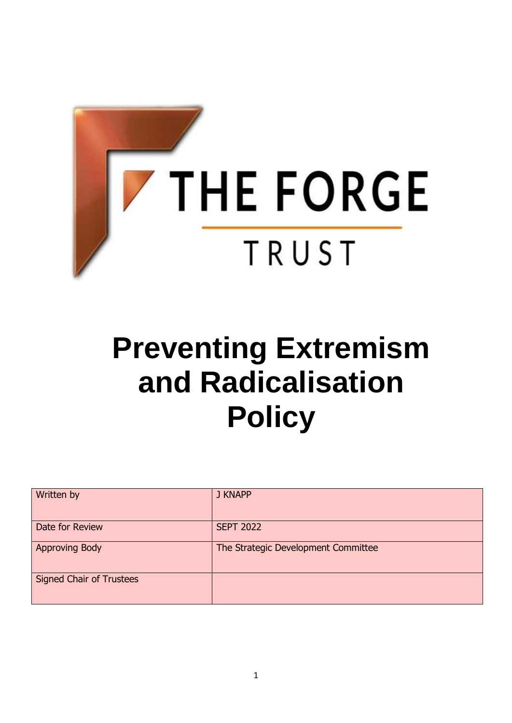

# **Preventing Extremism and Radicalisation Policy**

| Written by                      | J KNAPP                             |
|---------------------------------|-------------------------------------|
| Date for Review                 | <b>SEPT 2022</b>                    |
| <b>Approving Body</b>           | The Strategic Development Committee |
| <b>Signed Chair of Trustees</b> |                                     |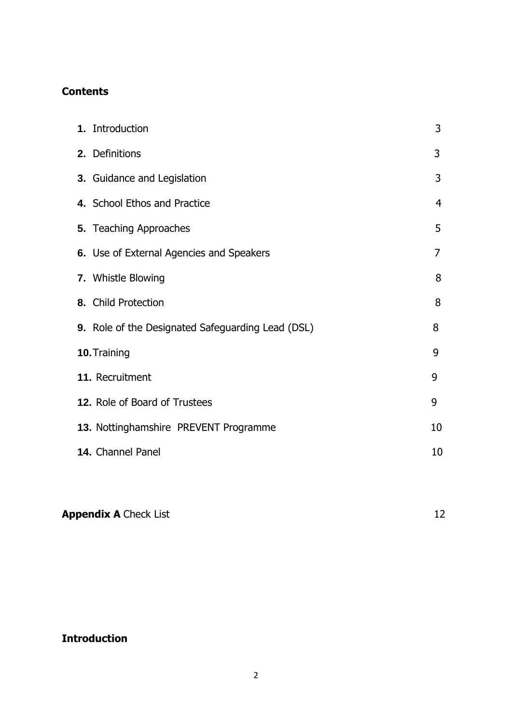## **Contents**

| 1. Introduction                                   | 3  |
|---------------------------------------------------|----|
| 2. Definitions                                    | 3  |
| 3. Guidance and Legislation                       | 3  |
| 4. School Ethos and Practice                      | 4  |
| 5. Teaching Approaches                            | 5  |
| 6. Use of External Agencies and Speakers          | 7  |
| 7. Whistle Blowing                                | 8  |
| 8. Child Protection                               | 8  |
| 9. Role of the Designated Safeguarding Lead (DSL) | 8  |
| 10. Training                                      | 9  |
| 11. Recruitment                                   | 9  |
| 12. Role of Board of Trustees                     | 9  |
| 13. Nottinghamshire PREVENT Programme             | 10 |
| 14. Channel Panel                                 | 10 |

**Appendix A** Check List 12

# **Introduction**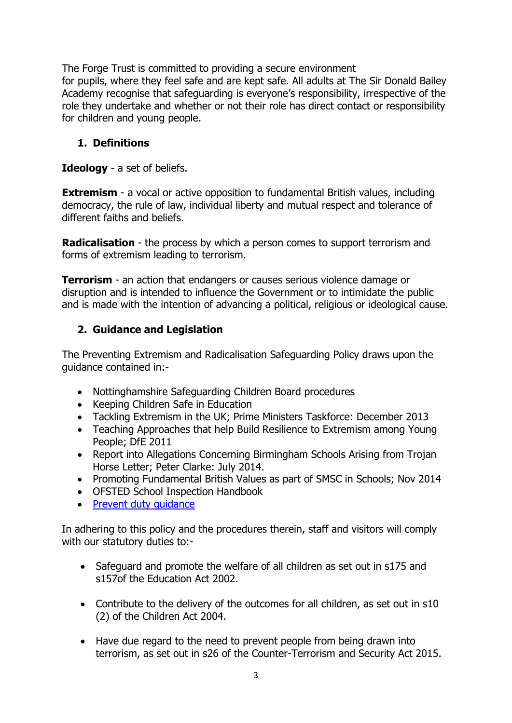The Forge Trust is committed to providing a secure environment for pupils, where they feel safe and are kept safe. All adults at The Sir Donald Bailey Academy recognise that safeguarding is everyone's responsibility, irrespective of the role they undertake and whether or not their role has direct contact or responsibility for children and young people.

#### **1. Definitions**

**Ideology** - a set of beliefs.

**Extremism** - a vocal or active opposition to fundamental British values, including democracy, the rule of law, individual liberty and mutual respect and tolerance of different faiths and beliefs.

**Radicalisation** - the process by which a person comes to support terrorism and forms of extremism leading to terrorism.

**Terrorism** - an action that endangers or causes serious violence damage or disruption and is intended to influence the Government or to intimidate the public and is made with the intention of advancing a political, religious or ideological cause.

#### **2. Guidance and Legislation**

The Preventing Extremism and Radicalisation Safeguarding Policy draws upon the guidance contained in:-

- Nottinghamshire Safeguarding Children Board procedures
- Keeping Children Safe in Education
- Tackling Extremism in the UK; Prime Ministers Taskforce: December 2013
- Teaching Approaches that help Build Resilience to Extremism among Young People; DfE 2011
- Report into Allegations Concerning Birmingham Schools Arising from Trojan Horse Letter; Peter Clarke: July 2014.
- Promoting Fundamental British Values as part of SMSC in Schools; Nov 2014
- OFSTED School Inspection Handbook
- Prevent duty quidance

In adhering to this policy and the procedures therein, staff and visitors will comply with our statutory duties to:-

- Safeguard and promote the welfare of all children as set out in s175 and s157of the Education Act 2002.
- Contribute to the delivery of the outcomes for all children, as set out in s10 (2) of the Children Act 2004.
- Have due regard to the need to prevent people from being drawn into terrorism, as set out in s26 of the Counter-Terrorism and Security Act 2015.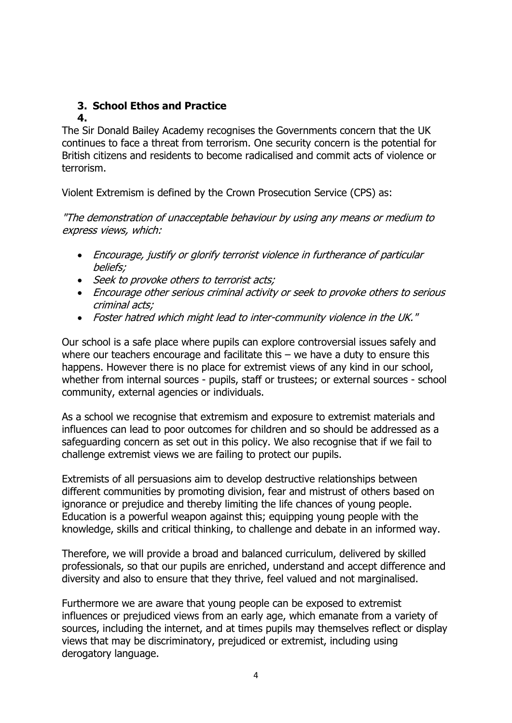# **3. School Ethos and Practice**

#### **4.**

The Sir Donald Bailey Academy recognises the Governments concern that the UK continues to face a threat from terrorism. One security concern is the potential for British citizens and residents to become radicalised and commit acts of violence or terrorism.

Violent Extremism is defined by the Crown Prosecution Service (CPS) as:

"The demonstration of unacceptable behaviour by using any means or medium to express views, which:

- Encourage, justify or glorify terrorist violence in furtherance of particular beliefs;
- Seek to provoke others to terrorist acts;
- Encourage other serious criminal activity or seek to provoke others to serious criminal acts;
- Foster hatred which might lead to inter-community violence in the UK."

Our school is a safe place where pupils can explore controversial issues safely and where our teachers encourage and facilitate this – we have a duty to ensure this happens. However there is no place for extremist views of any kind in our school, whether from internal sources - pupils, staff or trustees; or external sources - school community, external agencies or individuals.

As a school we recognise that extremism and exposure to extremist materials and influences can lead to poor outcomes for children and so should be addressed as a safeguarding concern as set out in this policy. We also recognise that if we fail to challenge extremist views we are failing to protect our pupils.

Extremists of all persuasions aim to develop destructive relationships between different communities by promoting division, fear and mistrust of others based on ignorance or prejudice and thereby limiting the life chances of young people. Education is a powerful weapon against this; equipping young people with the knowledge, skills and critical thinking, to challenge and debate in an informed way.

Therefore, we will provide a broad and balanced curriculum, delivered by skilled professionals, so that our pupils are enriched, understand and accept difference and diversity and also to ensure that they thrive, feel valued and not marginalised.

Furthermore we are aware that young people can be exposed to extremist influences or prejudiced views from an early age, which emanate from a variety of sources, including the internet, and at times pupils may themselves reflect or display views that may be discriminatory, prejudiced or extremist, including using derogatory language.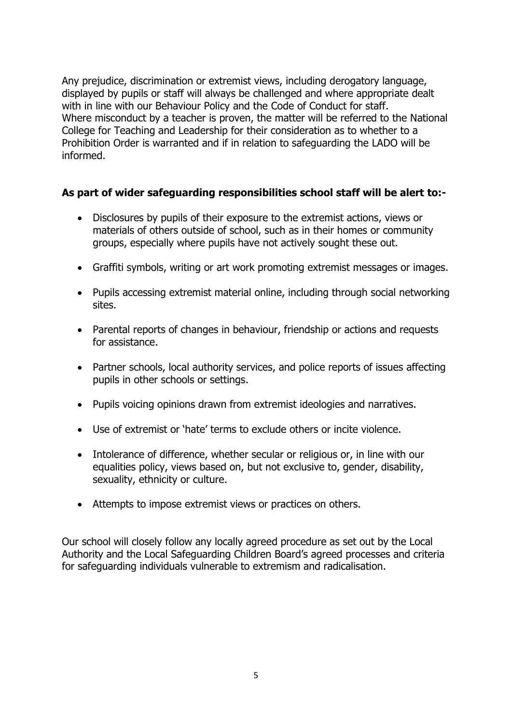Any prejudice, discrimination or extremist views, including derogatory language, displayed by pupils or staff will always be challenged and where appropriate dealt with in line with our Behaviour Policy and the Code of Conduct for staff. Where misconduct by a teacher is proven, the matter will be referred to the National College for Teaching and Leadership for their consideration as to whether to a Prohibition Order is warranted and if in relation to safeguarding the LADO will be informed.

#### **As part of wider safeguarding responsibilities school staff will be alert to:-**

- Disclosures by pupils of their exposure to the extremist actions, views or materials of others outside of school, such as in their homes or community groups, especially where pupils have not actively sought these out.
- Graffiti symbols, writing or art work promoting extremist messages or images.
- Pupils accessing extremist material online, including through social networking sites.
- Parental reports of changes in behaviour, friendship or actions and requests for assistance.
- Partner schools, local authority services, and police reports of issues affecting pupils in other schools or settings.
- Pupils voicing opinions drawn from extremist ideologies and narratives.
- Use of extremist or 'hate' terms to exclude others or incite violence.
- Intolerance of difference, whether secular or religious or, in line with our equalities policy, views based on, but not exclusive to, gender, disability, sexuality, ethnicity or culture.
- Attempts to impose extremist views or practices on others.

Our school will closely follow any locally agreed procedure as set out by the Local Authority and the Local Safeguarding Children Board's agreed processes and criteria for safeguarding individuals vulnerable to extremism and radicalisation.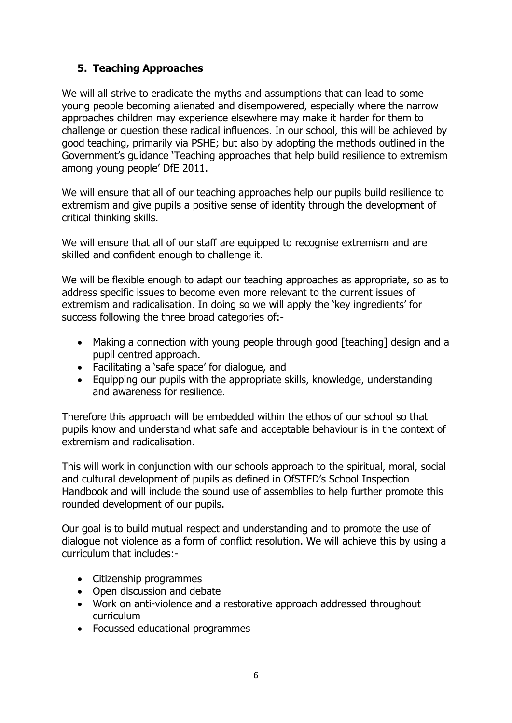## **5. Teaching Approaches**

We will all strive to eradicate the myths and assumptions that can lead to some young people becoming alienated and disempowered, especially where the narrow approaches children may experience elsewhere may make it harder for them to challenge or question these radical influences. In our school, this will be achieved by good teaching, primarily via PSHE; but also by adopting the methods outlined in the Government's guidance 'Teaching approaches that help build resilience to extremism among young people' DfE 2011.

We will ensure that all of our teaching approaches help our pupils build resilience to extremism and give pupils a positive sense of identity through the development of critical thinking skills.

We will ensure that all of our staff are equipped to recognise extremism and are skilled and confident enough to challenge it.

We will be flexible enough to adapt our teaching approaches as appropriate, so as to address specific issues to become even more relevant to the current issues of extremism and radicalisation. In doing so we will apply the 'key ingredients' for success following the three broad categories of:-

- Making a connection with young people through good [teaching] design and a pupil centred approach.
- Facilitating a 'safe space' for dialogue, and
- Equipping our pupils with the appropriate skills, knowledge, understanding and awareness for resilience.

Therefore this approach will be embedded within the ethos of our school so that pupils know and understand what safe and acceptable behaviour is in the context of extremism and radicalisation.

This will work in conjunction with our schools approach to the spiritual, moral, social and cultural development of pupils as defined in OfSTED's School Inspection Handbook and will include the sound use of assemblies to help further promote this rounded development of our pupils.

Our goal is to build mutual respect and understanding and to promote the use of dialogue not violence as a form of conflict resolution. We will achieve this by using a curriculum that includes:-

- Citizenship programmes
- Open discussion and debate
- Work on anti-violence and a restorative approach addressed throughout curriculum
- Focussed educational programmes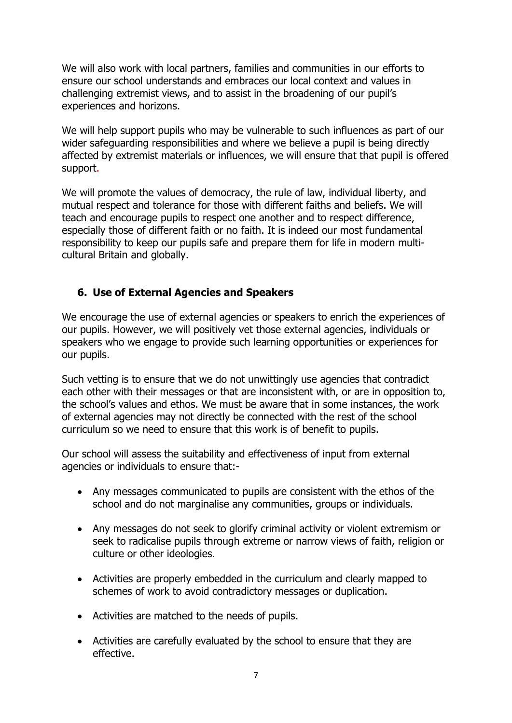We will also work with local partners, families and communities in our efforts to ensure our school understands and embraces our local context and values in challenging extremist views, and to assist in the broadening of our pupil's experiences and horizons.

We will help support pupils who may be vulnerable to such influences as part of our wider safeguarding responsibilities and where we believe a pupil is being directly affected by extremist materials or influences, we will ensure that that pupil is offered support.

We will promote the values of democracy, the rule of law, individual liberty, and mutual respect and tolerance for those with different faiths and beliefs. We will teach and encourage pupils to respect one another and to respect difference, especially those of different faith or no faith. It is indeed our most fundamental responsibility to keep our pupils safe and prepare them for life in modern multicultural Britain and globally.

#### **6. Use of External Agencies and Speakers**

We encourage the use of external agencies or speakers to enrich the experiences of our pupils. However, we will positively vet those external agencies, individuals or speakers who we engage to provide such learning opportunities or experiences for our pupils.

Such vetting is to ensure that we do not unwittingly use agencies that contradict each other with their messages or that are inconsistent with, or are in opposition to, the school's values and ethos. We must be aware that in some instances, the work of external agencies may not directly be connected with the rest of the school curriculum so we need to ensure that this work is of benefit to pupils.

Our school will assess the suitability and effectiveness of input from external agencies or individuals to ensure that:-

- Any messages communicated to pupils are consistent with the ethos of the school and do not marginalise any communities, groups or individuals.
- Any messages do not seek to glorify criminal activity or violent extremism or seek to radicalise pupils through extreme or narrow views of faith, religion or culture or other ideologies.
- Activities are properly embedded in the curriculum and clearly mapped to schemes of work to avoid contradictory messages or duplication.
- Activities are matched to the needs of pupils.
- Activities are carefully evaluated by the school to ensure that they are effective.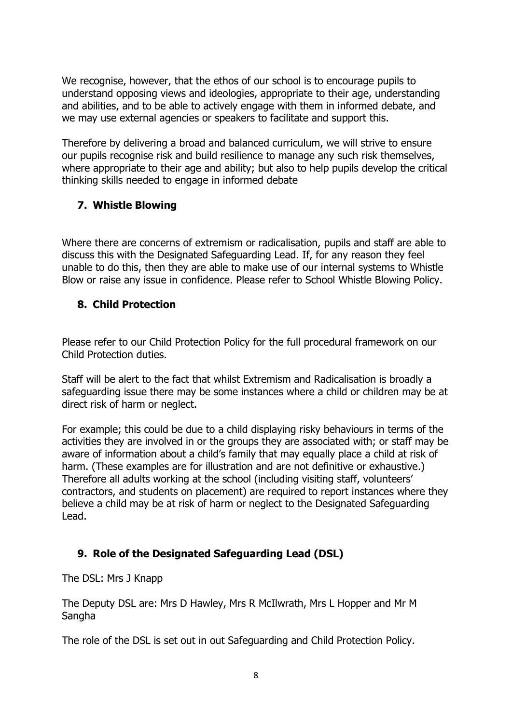We recognise, however, that the ethos of our school is to encourage pupils to understand opposing views and ideologies, appropriate to their age, understanding and abilities, and to be able to actively engage with them in informed debate, and we may use external agencies or speakers to facilitate and support this.

Therefore by delivering a broad and balanced curriculum, we will strive to ensure our pupils recognise risk and build resilience to manage any such risk themselves, where appropriate to their age and ability; but also to help pupils develop the critical thinking skills needed to engage in informed debate

## **7. Whistle Blowing**

Where there are concerns of extremism or radicalisation, pupils and staff are able to discuss this with the Designated Safeguarding Lead. If, for any reason they feel unable to do this, then they are able to make use of our internal systems to Whistle Blow or raise any issue in confidence. Please refer to School Whistle Blowing Policy.

#### **8. Child Protection**

Please refer to our Child Protection Policy for the full procedural framework on our Child Protection duties.

Staff will be alert to the fact that whilst Extremism and Radicalisation is broadly a safeguarding issue there may be some instances where a child or children may be at direct risk of harm or neglect.

For example; this could be due to a child displaying risky behaviours in terms of the activities they are involved in or the groups they are associated with; or staff may be aware of information about a child's family that may equally place a child at risk of harm. (These examples are for illustration and are not definitive or exhaustive.) Therefore all adults working at the school (including visiting staff, volunteers' contractors, and students on placement) are required to report instances where they believe a child may be at risk of harm or neglect to the Designated Safeguarding Lead.

#### **9. Role of the Designated Safeguarding Lead (DSL)**

The DSL: Mrs J Knapp

The Deputy DSL are: Mrs D Hawley, Mrs R McIlwrath, Mrs L Hopper and Mr M **Sangha** 

The role of the DSL is set out in out Safeguarding and Child Protection Policy.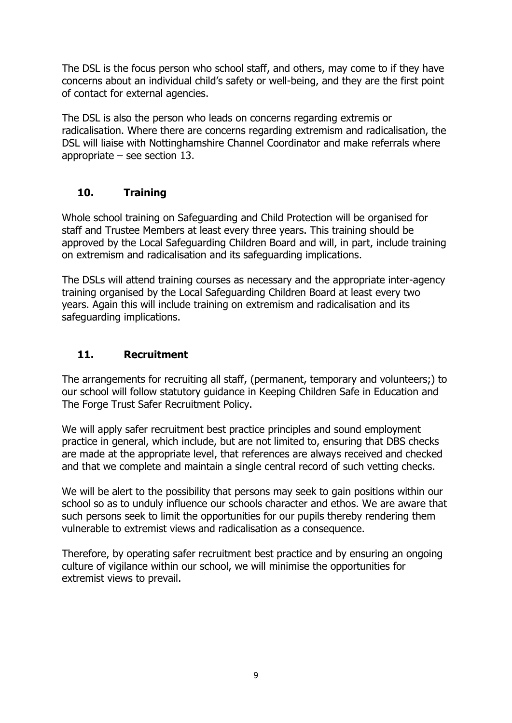The DSL is the focus person who school staff, and others, may come to if they have concerns about an individual child's safety or well-being, and they are the first point of contact for external agencies.

The DSL is also the person who leads on concerns regarding extremis or radicalisation. Where there are concerns regarding extremism and radicalisation, the DSL will liaise with Nottinghamshire Channel Coordinator and make referrals where appropriate – see section 13.

## **10. Training**

Whole school training on Safeguarding and Child Protection will be organised for staff and Trustee Members at least every three years. This training should be approved by the Local Safeguarding Children Board and will, in part, include training on extremism and radicalisation and its safeguarding implications.

The DSLs will attend training courses as necessary and the appropriate inter-agency training organised by the Local Safeguarding Children Board at least every two years. Again this will include training on extremism and radicalisation and its safeguarding implications.

#### **11. Recruitment**

The arrangements for recruiting all staff, (permanent, temporary and volunteers;) to our school will follow statutory guidance in Keeping Children Safe in Education and The Forge Trust Safer Recruitment Policy.

We will apply safer recruitment best practice principles and sound employment practice in general, which include, but are not limited to, ensuring that DBS checks are made at the appropriate level, that references are always received and checked and that we complete and maintain a single central record of such vetting checks.

We will be alert to the possibility that persons may seek to gain positions within our school so as to unduly influence our schools character and ethos. We are aware that such persons seek to limit the opportunities for our pupils thereby rendering them vulnerable to extremist views and radicalisation as a consequence.

Therefore, by operating safer recruitment best practice and by ensuring an ongoing culture of vigilance within our school, we will minimise the opportunities for extremist views to prevail.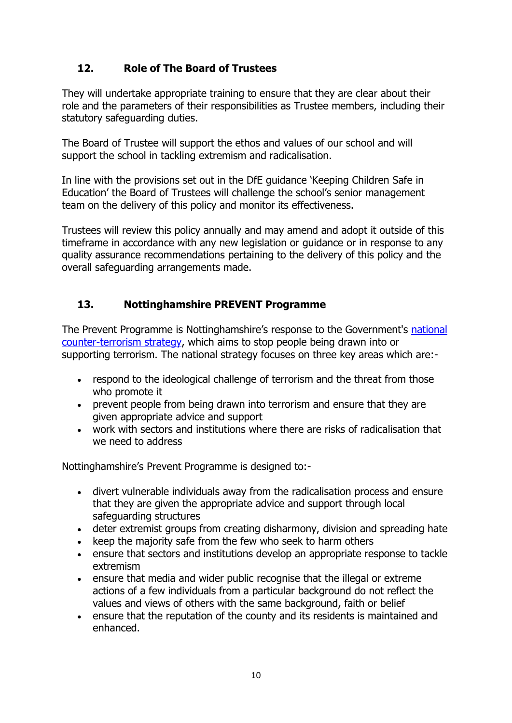# **12. Role of The Board of Trustees**

They will undertake appropriate training to ensure that they are clear about their role and the parameters of their responsibilities as Trustee members, including their statutory safeguarding duties.

The Board of Trustee will support the ethos and values of our school and will support the school in tackling extremism and radicalisation.

In line with the provisions set out in the DfE guidance 'Keeping Children Safe in Education' the Board of Trustees will challenge the school's senior management team on the delivery of this policy and monitor its effectiveness.

Trustees will review this policy annually and may amend and adopt it outside of this timeframe in accordance with any new legislation or guidance or in response to any quality assurance recommendations pertaining to the delivery of this policy and the overall safeguarding arrangements made.

# **13. Nottinghamshire PREVENT Programme**

The Prevent Programme is Nottinghamshire's response to the Government's [national](https://www.gov.uk/government/publications/prevent-strategy-2011)  [counter-terrorism strategy,](https://www.gov.uk/government/publications/prevent-strategy-2011) which aims to stop people being drawn into or supporting terrorism. The national strategy focuses on three key areas which are:-

- respond to the ideological challenge of terrorism and the threat from those who promote it
- prevent people from being drawn into terrorism and ensure that they are given appropriate advice and support
- work with sectors and institutions where there are risks of radicalisation that we need to address

Nottinghamshire's Prevent Programme is designed to:-

- divert vulnerable individuals away from the radicalisation process and ensure that they are given the appropriate advice and support through local safeguarding structures
- deter extremist groups from creating disharmony, division and spreading hate
- keep the majority safe from the few who seek to harm others
- ensure that sectors and institutions develop an appropriate response to tackle extremism
- ensure that media and wider public recognise that the illegal or extreme actions of a few individuals from a particular background do not reflect the values and views of others with the same background, faith or belief
- ensure that the reputation of the county and its residents is maintained and enhanced.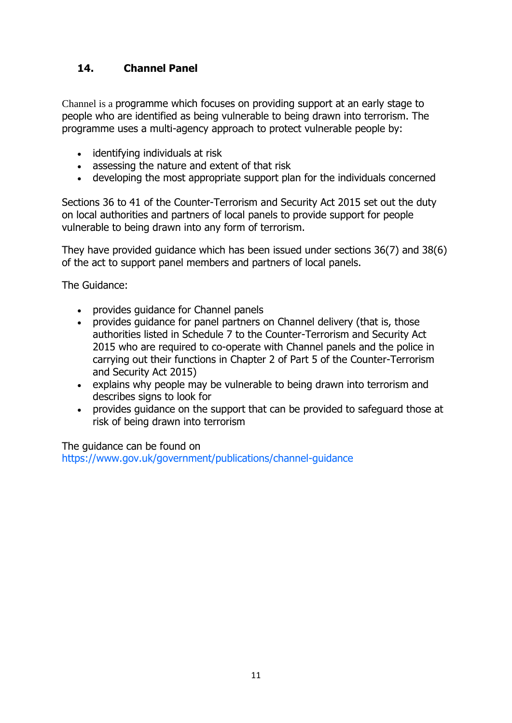# **14. Channel Panel**

Channel is a programme which focuses on providing support at an early stage to people who are identified as being vulnerable to being drawn into terrorism. The programme uses a multi-agency approach to protect vulnerable people by:

- identifying individuals at risk
- assessing the nature and extent of that risk
- developing the most appropriate support plan for the individuals concerned

Sections 36 to 41 of the [Counter-Terrorism and Security Act 2015](https://www.gov.uk/government/collections/counter-terrorism-and-security-bill) set out the duty on local authorities and partners of local panels to provide support for people vulnerable to being drawn into any form of terrorism.

They have provided guidance which has been issued under sections 36(7) and 38(6) of the act to support panel members and partners of local panels.

The Guidance:

- provides guidance for Channel panels
- provides guidance for panel partners on Channel delivery (that is, those authorities listed in Schedule 7 to the Counter-Terrorism and Security Act 2015 who are required to co-operate with Channel panels and the police in carrying out their functions in Chapter 2 of Part 5 of the Counter-Terrorism and Security Act 2015)
- explains why people may be vulnerable to being drawn into terrorism and describes signs to look for
- provides quidance on the support that can be provided to safeguard those at risk of being drawn into terrorism

The guidance can be found on https://www.gov.uk/government/publications/channel-guidance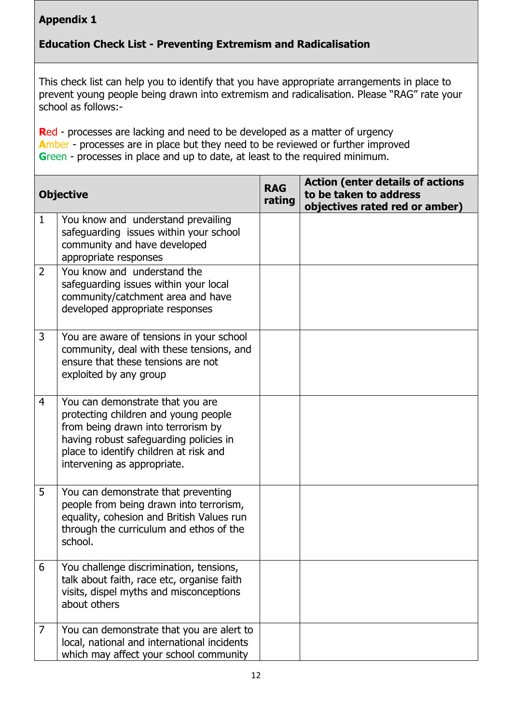# **Appendix 1**

# **Education Check List - Preventing Extremism and Radicalisation**

This check list can help you to identify that you have appropriate arrangements in place to prevent young people being drawn into extremism and radicalisation. Please "RAG" rate your school as follows:-

**R**ed - processes are lacking and need to be developed as a matter of urgency **A**mber - processes are in place but they need to be reviewed or further improved **G**reen - processes in place and up to date, at least to the required minimum.

|                | <b>Objective</b>                                                                                                                                                                                                                  | <b>RAG</b><br>rating | <b>Action (enter details of actions</b><br>to be taken to address<br>objectives rated red or amber) |
|----------------|-----------------------------------------------------------------------------------------------------------------------------------------------------------------------------------------------------------------------------------|----------------------|-----------------------------------------------------------------------------------------------------|
| $\mathbf{1}$   | You know and understand prevailing<br>safeguarding issues within your school<br>community and have developed<br>appropriate responses                                                                                             |                      |                                                                                                     |
| $\overline{2}$ | You know and understand the<br>safeguarding issues within your local<br>community/catchment area and have<br>developed appropriate responses                                                                                      |                      |                                                                                                     |
| 3              | You are aware of tensions in your school<br>community, deal with these tensions, and<br>ensure that these tensions are not<br>exploited by any group                                                                              |                      |                                                                                                     |
| 4              | You can demonstrate that you are<br>protecting children and young people<br>from being drawn into terrorism by<br>having robust safeguarding policies in<br>place to identify children at risk and<br>intervening as appropriate. |                      |                                                                                                     |
| 5              | You can demonstrate that preventing<br>people from being drawn into terrorism,<br>equality, cohesion and British Values run<br>through the curriculum and ethos of the<br>school.                                                 |                      |                                                                                                     |
| 6              | You challenge discrimination, tensions,<br>talk about faith, race etc, organise faith<br>visits, dispel myths and misconceptions<br>about others                                                                                  |                      |                                                                                                     |
| 7              | You can demonstrate that you are alert to<br>local, national and international incidents<br>which may affect your school community                                                                                                |                      |                                                                                                     |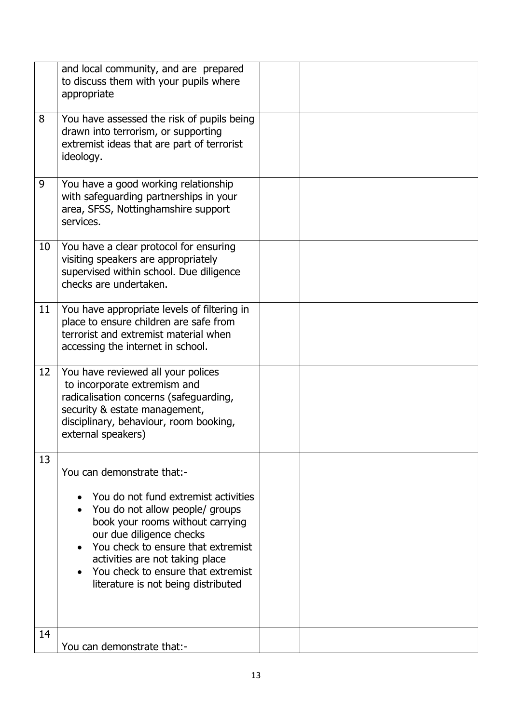|    | and local community, and are prepared<br>to discuss them with your pupils where<br>appropriate                                                                                                                                                                                                                              |  |
|----|-----------------------------------------------------------------------------------------------------------------------------------------------------------------------------------------------------------------------------------------------------------------------------------------------------------------------------|--|
| 8  | You have assessed the risk of pupils being<br>drawn into terrorism, or supporting<br>extremist ideas that are part of terrorist<br>ideology.                                                                                                                                                                                |  |
| 9  | You have a good working relationship<br>with safeguarding partnerships in your<br>area, SFSS, Nottinghamshire support<br>services.                                                                                                                                                                                          |  |
| 10 | You have a clear protocol for ensuring<br>visiting speakers are appropriately<br>supervised within school. Due diligence<br>checks are undertaken.                                                                                                                                                                          |  |
| 11 | You have appropriate levels of filtering in<br>place to ensure children are safe from<br>terrorist and extremist material when<br>accessing the internet in school.                                                                                                                                                         |  |
| 12 | You have reviewed all your polices<br>to incorporate extremism and<br>radicalisation concerns (safeguarding,<br>security & estate management,<br>disciplinary, behaviour, room booking,<br>external speakers)                                                                                                               |  |
| 13 | You can demonstrate that:-<br>You do not fund extremist activities<br>You do not allow people/ groups<br>book your rooms without carrying<br>our due diligence checks<br>You check to ensure that extremist<br>activities are not taking place<br>You check to ensure that extremist<br>literature is not being distributed |  |
| 14 | You can demonstrate that:-                                                                                                                                                                                                                                                                                                  |  |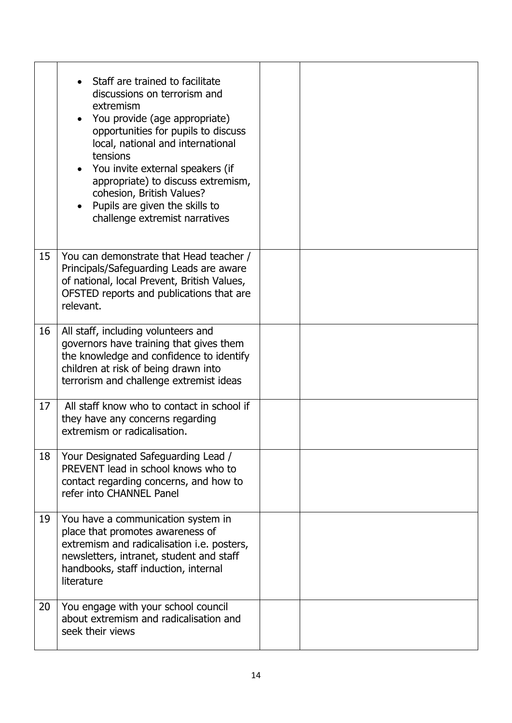|    | Staff are trained to facilitate<br>discussions on terrorism and<br>extremism<br>You provide (age appropriate)<br>opportunities for pupils to discuss<br>local, national and international<br>tensions<br>• You invite external speakers (if<br>appropriate) to discuss extremism,<br>cohesion, British Values?<br>Pupils are given the skills to<br>challenge extremist narratives |  |
|----|------------------------------------------------------------------------------------------------------------------------------------------------------------------------------------------------------------------------------------------------------------------------------------------------------------------------------------------------------------------------------------|--|
| 15 | You can demonstrate that Head teacher /<br>Principals/Safeguarding Leads are aware<br>of national, local Prevent, British Values,<br>OFSTED reports and publications that are<br>relevant.                                                                                                                                                                                         |  |
| 16 | All staff, including volunteers and<br>governors have training that gives them<br>the knowledge and confidence to identify<br>children at risk of being drawn into<br>terrorism and challenge extremist ideas                                                                                                                                                                      |  |
| 17 | All staff know who to contact in school if<br>they have any concerns regarding<br>extremism or radicalisation.                                                                                                                                                                                                                                                                     |  |
| 18 | Your Designated Safeguarding Lead /<br>PREVENT lead in school knows who to<br>contact regarding concerns, and how to<br>refer into CHANNEL Panel                                                                                                                                                                                                                                   |  |
| 19 | You have a communication system in<br>place that promotes awareness of<br>extremism and radicalisation <i>i.e.</i> posters,<br>newsletters, intranet, student and staff<br>handbooks, staff induction, internal<br>literature                                                                                                                                                      |  |
| 20 | You engage with your school council<br>about extremism and radicalisation and<br>seek their views                                                                                                                                                                                                                                                                                  |  |